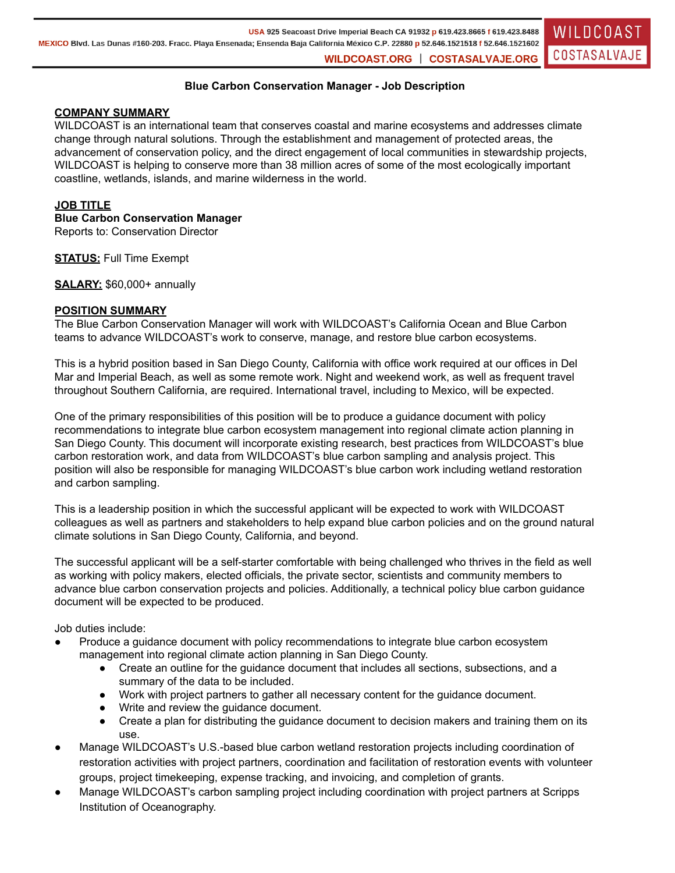# **Blue Carbon Conservation Manager - Job Description**

## **COMPANY SUMMARY**

WILDCOAST is an international team that conserves coastal and marine ecosystems and addresses climate change through natural solutions. Through the establishment and management of protected areas, the advancement of conservation policy, and the direct engagement of local communities in stewardship projects, WILDCOAST is helping to conserve more than 38 million acres of some of the most ecologically important coastline, wetlands, islands, and marine wilderness in the world.

## **JOB TITLE**

**Blue Carbon Conservation Manager**

Reports to: Conservation Director

**STATUS:** Full Time Exempt

**SALARY:** \$60,000+ annually

## **POSITION SUMMARY**

The Blue Carbon Conservation Manager will work with WILDCOAST's California Ocean and Blue Carbon teams to advance WILDCOAST's work to conserve, manage, and restore blue carbon ecosystems.

This is a hybrid position based in San Diego County, California with office work required at our offices in Del Mar and Imperial Beach, as well as some remote work. Night and weekend work, as well as frequent travel throughout Southern California, are required. International travel, including to Mexico, will be expected.

One of the primary responsibilities of this position will be to produce a guidance document with policy recommendations to integrate blue carbon ecosystem management into regional climate action planning in San Diego County. This document will incorporate existing research, best practices from WILDCOAST's blue carbon restoration work, and data from WILDCOAST's blue carbon sampling and analysis project. This position will also be responsible for managing WILDCOAST's blue carbon work including wetland restoration and carbon sampling.

This is a leadership position in which the successful applicant will be expected to work with WILDCOAST colleagues as well as partners and stakeholders to help expand blue carbon policies and on the ground natural climate solutions in San Diego County, California, and beyond.

The successful applicant will be a self-starter comfortable with being challenged who thrives in the field as well as working with policy makers, elected officials, the private sector, scientists and community members to advance blue carbon conservation projects and policies. Additionally, a technical policy blue carbon guidance document will be expected to be produced.

Job duties include:

- Produce a guidance document with policy recommendations to integrate blue carbon ecosystem management into regional climate action planning in San Diego County.
	- Create an outline for the guidance document that includes all sections, subsections, and a summary of the data to be included.
	- Work with project partners to gather all necessary content for the guidance document.
	- Write and review the guidance document.
	- Create a plan for distributing the guidance document to decision makers and training them on its use.
- Manage WILDCOAST's U.S.-based blue carbon wetland restoration projects including coordination of restoration activities with project partners, coordination and facilitation of restoration events with volunteer groups, project timekeeping, expense tracking, and invoicing, and completion of grants.
- Manage WILDCOAST's carbon sampling project including coordination with project partners at Scripps Institution of Oceanography.